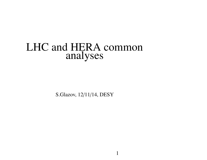# LHC and HERA commonanalyses

S.Glazov, 12/11/14, DESY

1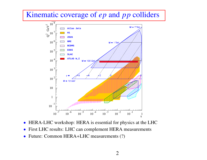# Kinematic coverage of *ep* and *pp* colliders



- HERA-LHC workshop: HERA is essential for physics at the LHC
- $\bullet$ First LHC results: LHC can complement HERA measurements
- Future: Common HERA+LHC measurements (?)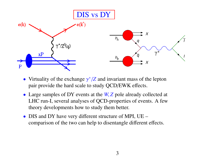

- Virtuality of the exchange  $\gamma^*/Z$  and invariant mass of the lepton pair provide the hard scale to study QCD/EWK <sup>e</sup>ffects.
- Large samples of DY events at the *<sup>W</sup>*, *<sup>Z</sup>* pole already collected at LHC run-I, several analyses of QCD-properties of events. A fewtheory developments how to study them better.
- DIS and DY have very different structure of MPI, UE comparison of the two can help to disentangle different <sup>e</sup>ffects.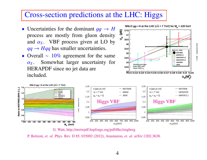#### Cross-section predictions at the LHC: Higgs

- Uncertainties for the dominant gg→*H* process are mostly from gluon densityand  $\alpha_S$ . VBF process given at LO by *qq* → *Hqq* has smaller uncertainties.
- Overall  $\sim 10\%$  agreement for the same  $\alpha_S$ . Somewhat larger uncertainty for HERAPDF since no jet data areincluded.





G. Watt, http://mstwpdf.hepforge.org/pdf4lhc/ringberg

P. Bolzoni, *et. al.* Phys. Rev. D 85, 035002 (2012), Anastasiou, *et. al.* arXiv:1202.3638.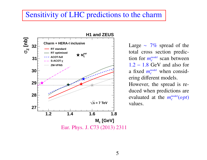#### Sensitivity of LHC predictions to the charm



Large ∼ 7% spread of the<br>total argas sostion readio total cross section prediction for  $m_c^{\text{model}}$  scan between  $1.2-1.8$  GeV and also for a fixed  $m_c^{\text{model}}$  when consid ering different models. However, the spread is re-

duced when predictions areevaluated at the  $m_c^{\text{model}}(opt)$ values.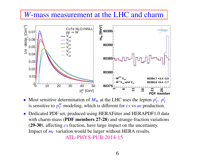#### *W*-mass measurement at the LHC and charm



- Most sensitive determination of  $M_W$  at the LHC uses the lepton  $p_T^{\ell}$ .  $p_T^{\ell}$ is sensitive to  $p_T^W$  modeling, which is different for *cs* vs *uv* production.
- Dedicated PDF set, produced using HERAFitter and HERAPDF1.0 data with charm-mass (PDF members 27-28) and strange-fraction variations (29-30), <sup>a</sup>ffecting *cs* fraction, have large impact on the uncertainty. Impact of *<sup>m</sup><sup>C</sup>* variation would be larger without HERA results.

ATL-PHYS-PUB-2014-15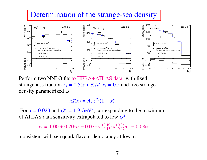# Determination of the strange-sea density



Perform two NNLO fits to HERA<sup>+</sup>ATLAS data: with fixedstrangeness fraction  $r_s = 0.5(s + \bar{s})/\bar{d}$ ,  $r_s = 0.5$  and free strange density parametrized as

$$
x\overline{s}(x) = A_s x^{B_{\overline{d}}}(1-x)^{C_s}
$$

For  $x = 0.023$  and  $Q^2$  of ATLAS data sensitivity extrapolated to low*Q*2 $^{2}$  = 1.9 GeV<sup>2</sup>, corresponding to the maximum

$$
r_s = 1.00 \pm 0.20
$$
exp $\pm 0.07$ mod $^{+0.10}_{-0.15}$ par $^{+0.06}_{-0.07}$ α<sub>S</sub> $\pm 0.08$ th.

consistent with sea quark flavour democracy at low*x*.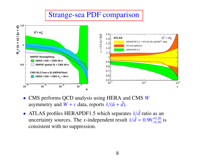# Strange-sea PDF comparison



- CMS performs QCD analysis using HERA and CMS*W*asymmetry and  $W + c$  data, reports  $\bar{s}/(\bar{u} + \bar{d})$ .
- ATLAS profiles HERAPDF1.5 which separates  $\frac{\bar{s}}{d}$  ratio as an uncertainty sources. The *x*-independent result  $\bar{s}/\bar{d} = 0.96_{-0.30}^{+0.26}$  consistent with no suppression. 0.26 $^{+0.26}_{-0.30}$  is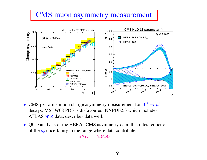#### CMS muon asymmetry measurement



- CMS performs muon charge asymmetry measurement for *W*± decays. MSTW08 PDF is disfavoured, NNPDF2.3 which includes $^{\pm}$   $\rightarrow$   $\mu^{\pm}$  $\mathbf{v}$ ATLAS*W*, *Z* data, describes data well.
- QCD analysis of the HERA<sup>+</sup>CMS asymmetry data illustrates reductionof the  $d_v$  uncertainty in the range where data contributes. arXiv:1312.6283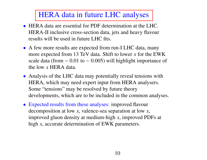## HERA data in future LHC analyses

- HERA data are essential for PDF determination at the LHC. HERA-II inclusive cross-section data, jets and heavy flavourresults will be used in future LHC fits.
- <sup>A</sup> few more results are expected from run-I LHC data, many more expected from 13 TeV data. Shift to lower*x* for the EWKscale data (from ∼ 0.01 to ∼ 0.005) will highlight importance of the low*x* HERA data.
- Analysis of the LHC data may potentially reveal tensions wit hHERA, which may need exper<sup>t</sup> input from HERA analysers. Some "tensions" may be resolved by future theorydevelopments, which are to be included in the common analyses.
- Expected results from these analyses: improved flavour decomposition at low*<sup>x</sup>*, valence-sea separation at low*x*, improved gluon density at medium-high*<sup>x</sup>*, improved PDFs athigh*<sup>x</sup>*, accurate determination of EWK parameters.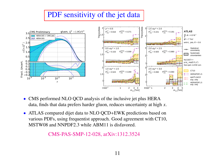# PDF sensitivity of the jet data



- CMS performed NLO QCD analysis of the inclusive jet <sup>p</sup>lus HERAdata, finds that data prefers harder gluon, reduces uncertainty at high*x*.
- $\bullet$  ATLAS compare<sup>d</sup> dijet data to NLO QCD<sup>+</sup>EWK predictions based on various PDFs, using frequentist approach. Good agreemen<sup>t</sup> with CT10, MSTW08 and NNPDF2.3 while ABM11 is disfavored.

CMS-PAS-SMP-12-028, arXiv:1312.3524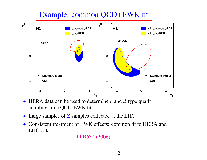

- HERA data can be used to determine *u* and *d*-type quarkcouplings in <sup>a</sup> QCD-EWK fit
- Large samples of *Z* samples collected at the LHC.
- • Consistent treatment of EWK <sup>e</sup> ffects: common fit to HERA andLHC data.

PLB632 (2006).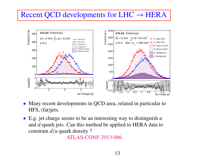# Recent QCD developments for  $LHC \rightarrow HERA$



- Many recent developments in QCD area, related in particular to HFS, (fat)jets.
- E.g. jet charge seems to be an interesting way to distinguish*u* and*d*-quark jets. Can this method be applied to HERA data toconstrain*d*/*u* quar<sup>k</sup> density ?

ATLAS-CONF-2013-086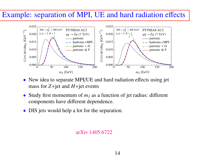## Example: separation of MPI, UE and hard radiation <sup>e</sup>ffects



- New idea to separate MPI/UE and hard radiation <sup>e</sup> ffects using jetmass for*Z*<sup>+</sup>jet and*H*<sup>+</sup>jet events
- Study first momentum of  $m<sub>J</sub>$  as a function of jet radius: different components have different dependence.
- DIS jets would help <sup>a</sup> lot for the separation.

#### arXiv 1405.6722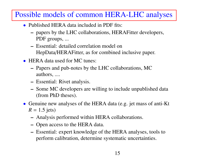# Possible models of common HERA-LHC analyses

- Published HERA data included in PDF fits:
	- papers by the LHC collaborations, HERAFitter developers, PDF groups, ...
	- – Essential: detailed correlation model on HepData/HERAFitter, as for combined inclusive paper.
- HERA data used for MC tunes:
	- – Papers and pub-notes by the LHC collaborations, MCauthors, ....
	- –Essential: Rivet analysis.
	- Some MC developers are willing to include unpublished data (from PhD theses).
- Genuine new analyses of the HERA data (e.g. jet mass of anti-Kt *R*=1.5 jets)
	- Analysis performed within HERA collaborations.
	- –Open access to the HERA data.
	- Essential: exper<sup>t</sup> knowledge of the HERA analyses, tools to perform calibration, determine systematic uncertainties.